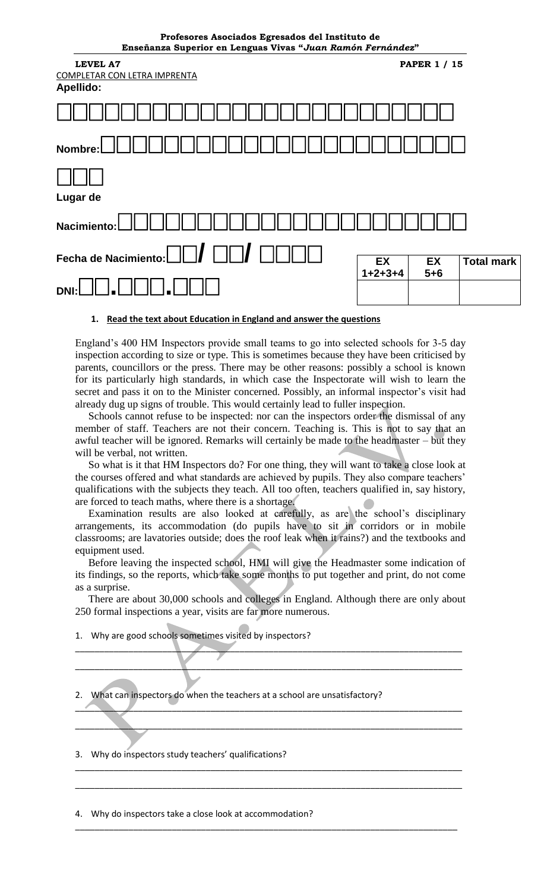| Profesores Asociados Egresados del Instituto de<br>Enseñanza Superior en Lenguas Vivas "Juan Ramón Fernández" |           |                     |                   |
|---------------------------------------------------------------------------------------------------------------|-----------|---------------------|-------------------|
| <b>LEVEL A7</b><br><b>COMPLETAR CON LETRA IMPRENTA</b><br>Apellido:                                           |           | <b>PAPER 1 / 15</b> |                   |
|                                                                                                               |           |                     |                   |
| Nombre:                                                                                                       |           |                     |                   |
| Lugar de                                                                                                      |           |                     |                   |
| <b>Nacimiento</b>                                                                                             |           |                     |                   |
| Fecha de Nacimiento:                                                                                          | EX        | EX                  | <b>Total mark</b> |
|                                                                                                               | $1+2+3+4$ | $5 + 6$             |                   |

#### **1. Read the text about Education in England and answer the questions**

England's 400 HM Inspectors provide small teams to go into selected schools for 3-5 day inspection according to size or type. This is sometimes because they have been criticised by parents, councillors or the press. There may be other reasons: possibly a school is known for its particularly high standards, in which case the Inspectorate will wish to learn the secret and pass it on to the Minister concerned. Possibly, an informal inspector's visit had already dug up signs of trouble. This would certainly lead to fuller inspection.

 Schools cannot refuse to be inspected: nor can the inspectors order the dismissal of any member of staff. Teachers are not their concern. Teaching is. This is not to say that an awful teacher will be ignored. Remarks will certainly be made to the headmaster – but they will be verbal, not written.

 So what is it that HM Inspectors do? For one thing, they will want to take a close look at the courses offered and what standards are achieved by pupils. They also compare teachers' qualifications with the subjects they teach. All too often, teachers qualified in, say history, are forced to teach maths, where there is a shortage.

 Examination results are also looked at carefully, as are the school's disciplinary arrangements, its accommodation (do pupils have to sit in corridors or in mobile classrooms; are lavatories outside; does the roof leak when it rains?) and the textbooks and equipment used.

 Before leaving the inspected school, HMI will give the Headmaster some indication of its findings, so the reports, which take some months to put together and print, do not come as a surprise.

 There are about 30,000 schools and colleges in England. Although there are only about 250 formal inspections a year, visits are far more numerous.

\_\_\_\_\_\_\_\_\_\_\_\_\_\_\_\_\_\_\_\_\_\_\_\_\_\_\_\_\_\_\_\_\_\_\_\_\_\_\_\_\_\_\_\_\_\_\_\_\_\_\_\_\_\_\_\_\_\_\_\_\_\_\_\_\_\_\_\_\_\_\_\_\_\_\_\_\_\_\_\_

\_\_\_\_\_\_\_\_\_\_\_\_\_\_\_\_\_\_\_\_\_\_\_\_\_\_\_\_\_\_\_\_\_\_\_\_\_\_\_\_\_\_\_\_\_\_\_\_\_\_\_\_\_\_\_\_\_\_\_\_\_\_\_\_\_\_\_\_\_\_\_\_\_\_\_\_\_\_\_\_

\_\_\_\_\_\_\_\_\_\_\_\_\_\_\_\_\_\_\_\_\_\_\_\_\_\_\_\_\_\_\_\_\_\_\_\_\_\_\_\_\_\_\_\_\_\_\_\_\_\_\_\_\_\_\_\_\_\_\_\_\_\_\_\_\_\_\_\_\_\_\_\_\_\_\_\_\_\_\_\_

\_\_\_\_\_\_\_\_\_\_\_\_\_\_\_\_\_\_\_\_\_\_\_\_\_\_\_\_\_\_\_\_\_\_\_\_\_\_\_\_\_\_\_\_\_\_\_\_\_\_\_\_\_\_\_\_\_\_\_\_\_\_\_\_\_\_\_\_\_\_\_\_\_\_\_\_\_\_\_\_

\_\_\_\_\_\_\_\_\_\_\_\_\_\_\_\_\_\_\_\_\_\_\_\_\_\_\_\_\_\_\_\_\_\_\_\_\_\_\_\_\_\_\_\_\_\_\_\_\_\_\_\_\_\_\_\_\_\_\_\_\_\_\_\_\_\_\_\_\_\_\_\_\_\_\_\_\_\_\_\_

\_\_\_\_\_\_\_\_\_\_\_\_\_\_\_\_\_\_\_\_\_\_\_\_\_\_\_\_\_\_\_\_\_\_\_\_\_\_\_\_\_\_\_\_\_\_\_\_\_\_\_\_\_\_\_\_\_\_\_\_\_\_\_\_\_\_\_\_\_\_\_\_\_\_\_\_\_\_\_\_

\_\_\_\_\_\_\_\_\_\_\_\_\_\_\_\_\_\_\_\_\_\_\_\_\_\_\_\_\_\_\_\_\_\_\_\_\_\_\_\_\_\_\_\_\_\_\_\_\_\_\_\_\_\_\_\_\_\_\_\_\_\_\_\_\_\_\_\_\_\_\_\_\_\_\_\_\_\_\_

1. Why are good schools sometimes visited by inspectors?

What can inspectors do when the teachers at a school are unsatisfactory?

3. Why do inspectors study teachers' qualifications?

4. Why do inspectors take a close look at accommodation?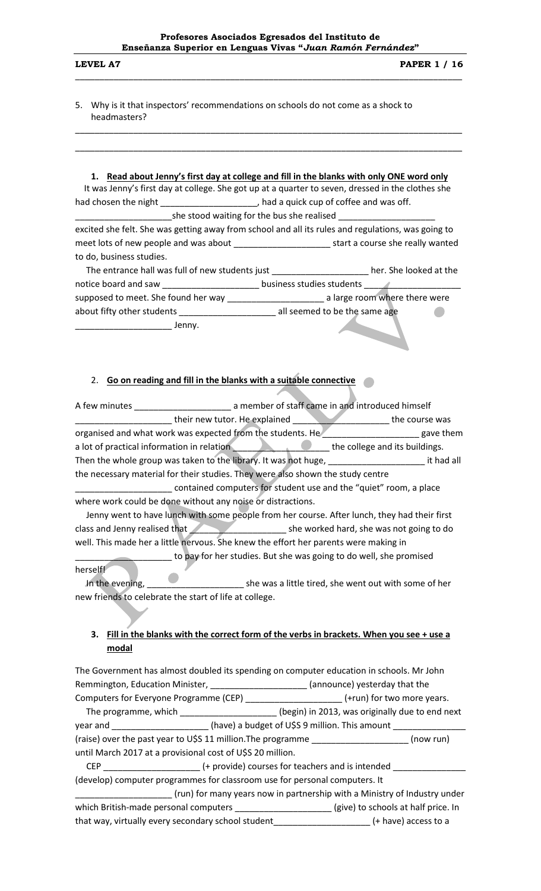\_\_\_\_\_\_\_\_\_\_\_\_\_\_\_\_\_\_\_\_\_\_\_\_\_\_\_\_\_\_\_\_\_\_\_\_\_\_\_\_\_\_\_\_\_\_\_\_\_\_\_\_\_\_\_\_\_\_\_\_\_\_\_\_\_\_\_\_\_\_\_\_\_\_\_\_\_\_\_\_

\_\_\_\_\_\_\_\_\_\_\_\_\_\_\_\_\_\_\_\_\_\_\_\_\_\_\_\_\_\_\_\_\_\_\_\_\_\_\_\_\_\_\_\_\_\_\_\_\_\_\_\_\_\_\_\_\_\_\_\_\_\_\_\_\_\_\_\_\_\_\_\_\_\_\_\_\_\_\_\_

\_\_\_\_\_\_\_\_\_\_\_\_\_\_\_\_\_\_\_\_\_\_\_\_\_\_\_\_\_\_\_\_\_\_\_\_\_\_\_\_\_\_\_\_\_\_\_\_\_\_\_\_\_\_\_\_\_\_\_\_\_\_\_\_\_\_\_\_\_\_\_\_\_\_\_\_\_\_\_\_

5. Why is it that inspectors' recommendations on schools do not come as a shock to headmasters?

## **1. Read about Jenny's first day at college and fill in the blanks with only ONE word only**

 It was Jenny's first day at college. She got up at a quarter to seven, dressed in the clothes she had chosen the night \_\_\_\_\_\_\_\_\_\_\_\_\_\_\_\_\_\_\_\_\_, had a quick cup of coffee and was off.  $\Box$ she stood waiting for the bus she realised  $\Box$ 

excited she felt. She was getting away from school and all its rules and regulations, was going to meet lots of new people and was about \_\_\_\_\_\_\_\_\_\_\_\_\_\_\_\_\_\_\_\_\_\_\_\_\_\_\_\_\_start a course she really wanted to do, business studies.

| The entrance hall was full of new students just<br>her. She looked at the |
|---------------------------------------------------------------------------|
| business studies students                                                 |
| a large room where there were                                             |
| all seemed to be the same age                                             |
|                                                                           |

\_\_\_\_\_\_\_\_\_\_\_\_\_\_\_\_\_\_\_\_ Jenny.

#### 2. **Go on reading and fill in the blanks with a suitable connective**

|          |       |                                                                                          | organised and what work was expected from the students. He_______________________ gave them                                                                                                                                          |  |
|----------|-------|------------------------------------------------------------------------------------------|--------------------------------------------------------------------------------------------------------------------------------------------------------------------------------------------------------------------------------------|--|
|          |       |                                                                                          | a lot of practical information in relation <b>Algebra 2018</b> the college and its buildings.                                                                                                                                        |  |
|          |       |                                                                                          | Then the whole group was taken to the library. It was not huge, ___________________________it had all                                                                                                                                |  |
|          |       |                                                                                          | the necessary material for their studies. They were also shown the study centre                                                                                                                                                      |  |
|          |       |                                                                                          | contained computers for student use and the "quiet" room, a place                                                                                                                                                                    |  |
|          |       | where work could be done without any noise or distractions.                              |                                                                                                                                                                                                                                      |  |
|          |       |                                                                                          | Jenny went to have lunch with some people from her course. After lunch, they had their first                                                                                                                                         |  |
|          |       |                                                                                          | class and Jenny realised that <b>All According the Search Contract Search Contract Search Contract Search Contract Search Contract Search Contract Search Contract Search Contract Search Search Search Search Search Search Sea</b> |  |
|          |       |                                                                                          | well. This made her a little nervous. She knew the effort her parents were making in                                                                                                                                                 |  |
|          |       |                                                                                          | to pay for her studies. But she was going to do well, she promised                                                                                                                                                                   |  |
| herself! |       |                                                                                          |                                                                                                                                                                                                                                      |  |
|          |       |                                                                                          |                                                                                                                                                                                                                                      |  |
|          |       | new friends to celebrate the start of life at college.                                   |                                                                                                                                                                                                                                      |  |
|          |       |                                                                                          |                                                                                                                                                                                                                                      |  |
| 3.       |       |                                                                                          | Fill in the blanks with the correct form of the verbs in brackets. When you see + use a                                                                                                                                              |  |
|          | modal |                                                                                          |                                                                                                                                                                                                                                      |  |
|          |       | The Government has almost doubled its spending on computer education in schools. Mr John |                                                                                                                                                                                                                                      |  |

Remmington, Education Minister, \_\_\_\_\_\_\_\_\_\_\_\_\_\_\_\_\_\_\_\_\_\_\_\_(announce) yesterday that the Computers for Everyone Programme (CEP) \_\_\_\_\_\_\_\_\_\_\_\_\_\_\_\_\_\_\_\_\_\_\_(+run) for two more years. The programme, which \_\_\_\_\_\_\_\_\_\_\_\_\_\_\_\_\_\_\_\_\_\_(begin) in 2013, was originally due to end next year and \_\_\_\_\_\_\_\_\_\_\_\_\_\_\_\_\_\_\_\_\_\_\_\_\_\_\_(have) a budget of U\$S 9 million. This amount \_\_ (raise) over the past year to U\$S 11 million.The programme \_\_\_\_\_\_\_\_\_\_\_\_\_\_\_\_\_\_\_\_ (now run) until March 2017 at a provisional cost of U\$S 20 million. CEP \_\_\_\_\_\_\_\_\_\_\_\_\_\_\_\_\_\_\_\_ (+ provide) courses for teachers and is intended \_\_\_\_\_\_\_\_\_\_\_\_\_\_\_ (develop) computer programmes for classroom use for personal computers. It (run) for many years now in partnership with a Ministry of Industry under which British-made personal computers \_\_\_\_\_\_\_\_\_\_\_\_\_\_\_\_\_\_\_\_\_\_(give) to schools at half price. In that way, virtually every secondary school student\_\_\_\_\_\_\_\_\_\_\_\_\_\_\_\_\_\_\_\_ (+ have) access to a